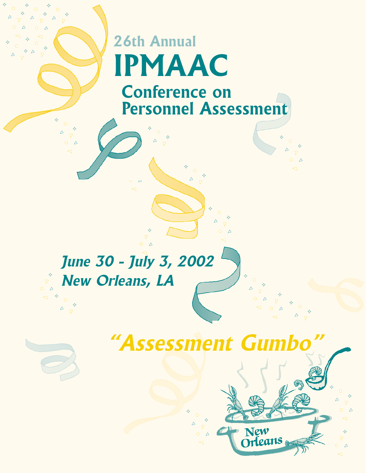# **26th Annual IPMAAC Conference on Personnel Assessment**

# **June 30 - July 3, 2002 New Orleans, LA**

♦  $\nabla$  $\triangle$ 

# **"Assessment Gumbo"**

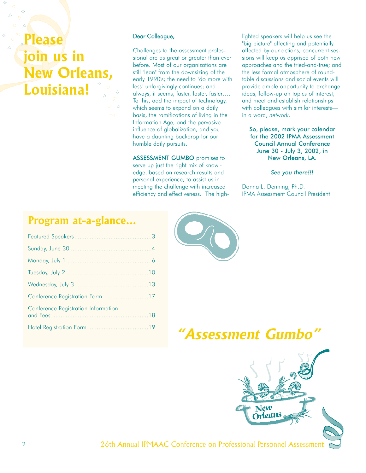**Please join us in New Orleans, Louisiana!**

#### Dear Colleague,

Challenges to the assessment professional are as great or greater than ever before. Most of our organizations are still "lean" from the downsizing of the early 1990's; the need to "do more with less" unforgivingly continues; and always, it seems, faster, faster, faster…. To this, add the impact of technology, which seems to expand on a daily basis, the ramifications of living in the Information Age, and the pervasive influence of globalization, and you have a daunting backdrop for our humble daily pursuits.

ASSESSMENT GUMBO promises to serve up just the right mix of knowledge, based on research results and personal experience, to assist us in meeting the challenge with increased efficiency and effectiveness. The high-

lighted speakers will help us see the "big picture" affecting and potentially affected by our actions; concurrent sessions will keep us apprised of both new approaches and the tried-and-true; and the less formal atmosphere of roundtable discussions and social events will provide ample opportunity to exchange ideas, follow-up on topics of interest, and meet and establish relationships with colleagues with similar interests in a word, *network*.

#### So, please, mark your calendar for the 2002 IPMA Assessment Council Annual Conference June 30 - July 3, 2002, in New Orleans, LA.

*See you there!!!*

Donna L. Denning, Ph.D. IPMA Assessment Council President

## **Program at-a-glance...**

| Conference Registration Form 17     |  |
|-------------------------------------|--|
| Conference Registration Information |  |
|                                     |  |



# Hotel Registration Form ..................................19 **"Assessment Gumbo"**



2 26th Annual IPMAAC Conference on Professional Personnel Assessment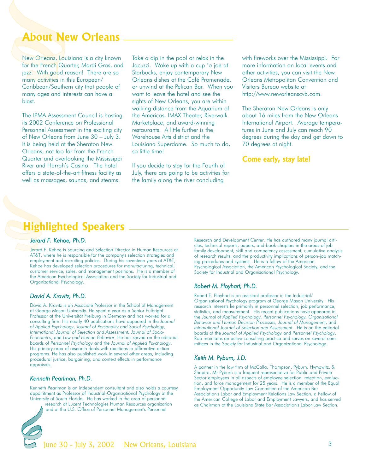## **About New Orleans**

New Orleans, Louisiana is a city known for the French Quarter, Mardi Gras, and jazz. With good reason! There are so many activities in this European/ Caribbean/Southern city that people of many ages and interests can have a blast.

The IPMA Assessment Council is hosting its 2002 Conference on Professional Personnel Assessment in the exciting city of New Orleans from June 30 – July 3. It is being held at the Sheraton New Orleans, not too far from the French Quarter and overlooking the Mississippi River and Harrah's Casino. The hotel offers a state-of-the-art fitness facility as well as massages, saunas, and steams.

Take a dip in the pool or relax in the Jacuzzi. Wake up with a cup 'o joe at Starbucks, enjoy contemporary New Orleans dishes at the Café Promenade, or unwind at the Pelican Bar. When you want to leave the hotel and see the sights of New Orleans, you are within walking distance from the Aquarium of the Americas, IMAX Theater, Riverwalk Marketplace, and award-winning restaurants. A little further is the Warehouse Arts district and the Louisiana Superdome. So much to do, so little time!

If you decide to stay for the Fourth of July, there are going to be activities for the family along the river concluding

with fireworks over the Mississippi. For more information on local events and other activities, you can visit the New Orleans Metropolitan Convention and Visitors Bureau website at http://www.neworleanscvb.com.

The Sheraton New Orleans is only about 16 miles from the New Orleans International Airport. Average temperatures in June and July can reach 90 degrees during the day and get down to 70 degrees at night.

## Come early, stay late!

## **Highlighted Speakers**

#### *Jerard F. Kehoe, Ph.D.*

Jerard F. Kehoe is Sourcing and Selection Director in Human Resources at AT&T, where he is responsible for the company's selection strategies and employment and recruiting policies. During his seventeen years at AT&T, Kehoe has developed selection procedures for manufacturing, technical, customer service, sales, and management positions. He is a member of the American Psychological Association and the Society for Industrial and Organizational Psychology.

#### *David A. Kravitz, Ph.D.*

David A. Kravitz is an Associate Professor in the School of Management at George Mason University. He spent a year as a Senior Fulbright Professor at the Universität Freiburg in Germany and has worked for a consulting firm. His nearly 40 publications have appeared in the *Journal of Applied Psychology*, *Journal of Personality and Social Psychology*, *International Journal of Selection and Assessment, Journal of Socio-Economics*, and *Law and Human Behavior*. He has served on the editorial boards of *Personnel Psychology* and the *Journal of Applied Psychology*. His primary area of research deals with reactions to affirmative action programs. He has also published work in several other areas, including procedural justice, bargaining, and context effects in performance appraisals.

#### *Kenneth Pearlman, Ph.D.*

Kenneth Pearlman is an independent consultant and also holds a courtesy appointment as Professor of Industrial-Organizational Psychology at the University of South Florida. He has worked in the area of personnel research at Lucent Technologies Human Resources organization and at the U.S. Office of Personnel Management's Personnel



Research and Development Center. He has authored many journal articles, technical reports, papers, and book chapters in the areas of job family development, skill and competency assessment, cumulative analysis of research results, and the productivity implications of person-job matching procedures and systems. He is a fellow of the American Psychological Association, the American Psychological Society, and the Society for Industrial and Organizational Psychology.

#### *Robert M. Ployhart, Ph.D.*

Robert E. Ployhart is an assistant professor in the Industrial/ Organizational Psychology program at George Mason University. His research interests lie primarily in personnel selection, job performance, statistics, and measurement. His recent publications have appeared in the *Journal of Applied Psychology, Personnel Psychology, Organizational Behavior and Human Decision Processes, Journal of Management*, and *International Journal of Selection and Assessment*. He is on the editorial boards of the *Journal of Applied Psychology* and *Personnel Psychology*. Rob maintains an active consulting practice and serves on several committees in the Society for Industrial and Organizational Psychology.

#### *Keith M. Pyburn, J.D.*

A partner in the law firm of McCalla, Thompson, Pyburn, Hymowitz, & Shapiro, Mr Pyburn is a frequent representative for Public and Private Sector employees in all aspects of employee selection, retention, evaluation, and force management for 25 years. He is a member of the Equal Employment Opportunity Law Committee of the American Bar Association's Labor and Employment Relations Law Section, a Fellow of the American College of Labor and Employment Lawyers, and has served as Chairman of the Louisiana State Bar Association's Labor Law Section.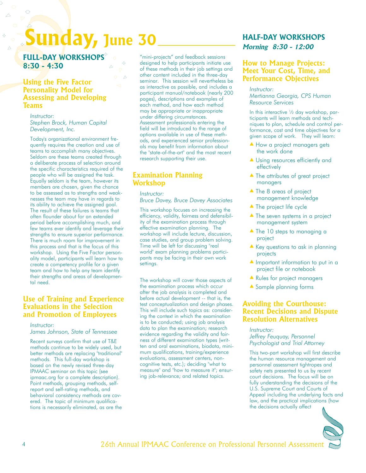# **Sunday, June 30**

Δ

**FULL-DAY WORKSHOPS 8:30 - 4:30**

## **Using the Five Factor Personality Model for Assessing and Developing Teams**

*Instructor: Stephen Brock, Human Capital Development, Inc.*

Today's organizational environment frequently requires the creation and use of teams to accomplish many objectives. Seldom are these teams created through a deliberate process of selection around the specific characteristics required of the people who will be assigned the task. Equally seldom is the team, however its members are chosen, given the chance to be assessed as to strengths and weaknesses the team may have in regards to its ability to achieve the assigned goal. The result of these failures is teams that often flounder about for an extended period before accomplishing much, and few teams ever identify and leverage their strengths to ensure superior performance. There is much room for improvement in this process and that is the focus of this workshop. Using the Five Factor personality model, participants will learn how to create a competency profile for a given team and how to help any team identify their strengths and areas of developmental need.

## **Use of Training and Experience Evaluations in the Selection and Promotion of Employees**

*Instructor:* 

*James Johnson, State of Tennessee*

Recent surveys confirm that use of T&E methods continue to be widely used, but better methods are replacing "traditional" methods. This full-day workshop is based on the newly revised three-day IPMAAC seminar on this topic (see ipmaac.org for a complete description). Point methods, grouping methods, selfreport and self-rating methods, and behavioral consistency methods are covered. The topic of minimum qualifications is necessarily eliminated, as are the

"mini-projects" and feedback sessions designed to help participants initiate use of these methods in their job settings and other content included in the three-day seminar. This session will nevertheless be as interactive as possible, and includes a participant manual/notebook (nearly 200 pages), descriptions and examples of each method, and how each method may be appropriate or inappropriate under differing circumstances. Assessment professionals entering the field will be introduced to the range of options available in use of these methods, and experienced senior professionals may benefit from information about the "state-of-the-art" and the most recent research supporting their use.

## **Examination Planning Workshop**

#### *Instructor:*

*Bruce Davey, Bruce Davey Associates*

This workshop focuses on increasing the efficiency, validity, fairness and defensibility of the examination process through effective examination planning. The workshop will include lecture, discussion, case studies, and group problem solving. Time will be left for discussing "real world" exam planning problems participants may be facing in their own work settings.

The workshop will cover those aspects of the examination process which occur after the job analysis is completed and before actual development -- that is, the test conceptualization and design phases. This will include such topics as: considering the context in which the examination is to be conducted; using job analysis data to plan the examination; research evidence regarding the validity and fairness of different examination types (written and oral examinations, biodata, minimum qualifications, training/experience evaluations, assessment centers, noncognitive tests, etc.); deciding "what to measure" and "how to measure it"; ensuring job-relevance; and related topics.

## **HALF-DAY WORKSHOPS Morning 8:30 - 12:00**

## **How to Manage Projects: Meet Your Cost, Time, and Performance Objectives**

#### *Instructor:*

*Mertianna Georgia, CPS Human Resource Services*

In this interactive ½ day workshop, participants will learn methods and techniques to plan, schedule and control performance, cost and time objectives for a given scope of work. They will learn:

- ▲ How a project managers gets the work done
- ▲ Using resources efficiently and effectively
- ▲ The attributes of great project managers
- ▲ The 8 areas of project management knowledge
- ▲ The project life cycle
- ▲ The seven systems in a project management system
- ▲ The 10 steps to managing a project
- $\triangle$  Key questions to ask in planning projects
- ▲ Important information to put in a project file or notebook
- ▲ Rules for project managers
- ▲ Sample planning forms

## **Avoiding the Courthouse: Recent Decisions and Dispute Resolution Alternatives**

*Instructor: Jeffrey Feuquay, Personnel Psychologist and Trial Attorney*

This two-part workshop will first describe the human resource management and personnel assessment tightropes and safety nets presented to us by recent court decisions. The focus will be on fully understanding the decisions of the U.S. Supreme Court and Courts of Appeal including the underlying facts and law, and the practical implications (how the decisions actually affect

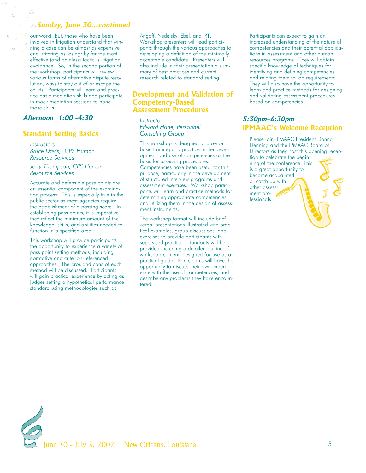### **Sunday, June 30...continued**

 $\triangleleft$  our work). But, those who have been  $_{\diamondsuit}$  involved in litigation understand that win- $\overrightarrow{v}$  ning a case can be almost as expensive and irritating as losing; by far the most effective (and painless) tactic is litigation avoidance. So, in the second portion of the workshop, participants will review various forms of alternative dispute resolution, ways to stay out of or escape the courts. Participants will learn and practice basic mediation skills and participate in mock mediation sessions to hone those skills.

### **Afternoon 1:00 -4:30**

Ō

#### **Standard Setting Basics**

*Instructors: Bruce Davis, CPS Human Resource Services*

*Jerry Thompson, CPS Human Resource Services*

Accurate and defensible pass points are an essential component of the examination process. This is especially true in the public sector as most agencies require the establishment of a passing score. In establishing pass points, it is imperative they reflect the minimum amount of the knowledge, skills, and abilities needed to function in a specified area.

This workshop will provide participants the opportunity to experience a variety of pass point setting methods, including normative and criterion-referenced approaches. The pros and cons of each method will be discussed. Participants will gain practical experience by acting as judges setting a hypothetical performance standard using methodologies such as

Angoff, Nedelsky, Ebel, and IRT. Workshop presenters will lead participants through the various approaches to developing a definition of the minimally acceptable candidate. Presenters will also include in their presentation a summary of best practices and current research related to standard setting.

#### **Development and Validation of Competency-Based Assessment Procedures**

*Instructor: Edward Hane, Personnel Consulting Group*

This workshop is designed to provide basic training and practice in the development and use of competencies as the basis for assessing procedures. Competencies have been useful for this purpose, particularly in the development of structured interview programs and assessment exercises. Workshop participants will learn and practice methods for determining appropriate competencies and utilizing them in the design of assessment instruments.

The workshop format will include brief verbal presentations illustrated with practical examples, group discussions, and exercises to provide participants with supervised practice. Handouts will be provided including a detailed outline of workshop content, designed for use as a practical guide. Participants will have the opportunity to discuss their own experience with the use of competencies, and describe any problems they have encountered.

Participants can expect to gain an increased understanding of the nature of competencies and their potential applications in assessment and other human resources programs. They will obtain specific knowledge of techniques for identifying and defining competencies, and relating them to job requirements. They will also have the opportunity to learn and practice methods for designing and validating assessment procedures based on competencies.

## **5:30pm–6:30pm IPMAAC's Welcome Reception**

Please join IPMAAC President Donna Denning and the IPMAAC Board of Directors as they host this opening reception to celebrate the beginning of the conference. This is a great opportunity to become acquainted or catch up with other assessment professionals!

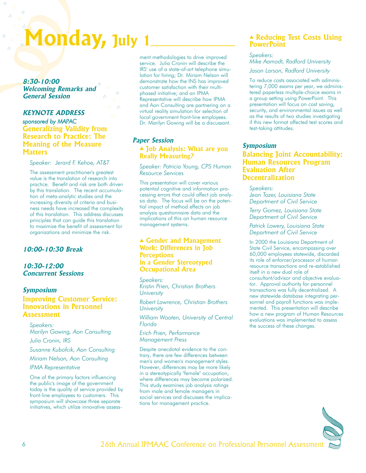# **Monday, July 1**

**8:30-10:00 Welcoming Remarks and General Session**

## **KEYNOTE ADDRESS** *sponsored by MAPAC* **Generalizing Validity from Research to Practice: The Meaning of the Measure Matters**

*Speaker: Jerard F. Kehoe, AT&T*

The assessment practitioner's greatest value is the translation of research into practice. Benefit and risk are both driven by this translation. The recent accumulation of meta-analytic studies and the increasing diversity of criteria and business needs have increased the complexity of this translation. This address discusses principles that can guide this translation to maximize the benefit of assessment for organizations and minimize the risk.

### **10:00-10:30 Break**

**10:30-12:00 Concurrent Sessions**

## **Symposium Improving Customer Service:**

**Innovations in Personnel Assessment**

*Speakers: Marilyn Gowing, Aon Consulting*

*Julia Cronin, IRS*

*Susanne Kubofcik, Aon Consulting*

*Miriam Nelson, Aon Consulting*

*IPMA Representative*

One of the primary factors influencing the public's image of the government today is the quality of service provided by front-line employees to customers. This symposium will showcase three separate initiatives, which utilize innovative assessment methodologies to drive improved service. Julia Cronin will describe the IRS' use of a state-of-art telephone simulation for hiring; Dr. Miriam Nelson will demonstrate how the INS has improved customer satisfaction with their multiphased initiative; and an IPMA Representative will describe how IPMA and Aon Consulting are partnering on a virtual reality simulation for selection of local government front-line employees. Dr. Marilyn Gowing will be a discussant.

## **Paper Session**

### ▲ **Job Analysis: What are you Really Measuring?**

*Speaker: Patricia Young, CPS Human Resource Services*

This presentation will cover various potential cognitive and information processing errors that could affect job analysis data. The focus will be on the potential impact of method effects on job analysis questionnaire data and the implications of this on human resource management systems.

#### ▲ **Gender and Management Work: Differences in Job Perceptions in a Gender Stereotyped Occupational Area**

*Speakers: Kristin Prien, Christian Brothers University*

*Robert Lawrence, Christian Brothers University*

*William Wooten, University of Central Florida*

*Erich Prien, Performance Management Press*

Despite anecdotal evidence to the contrary, there are few differences between men's and women's management styles. However, differences may be more likely in a stereotypically "female" occupation, where differences may become polarized. This study examines job analysis ratings from male and female managers in social services and discusses the implications for management practice.

#### ▲ **Reducing Test Costs Using PowerPoint**

*Speakers: Mike Aamodt, Radford University Jason Larson, Radford University*

To reduce costs associated with administering 7,000 exams per year, we administered paperless multiple-choice exams in a group setting using PowerPoint. This presentation will focus on cost saving, security, and environmental issues as well as the results of two studies investigating if this new format affected test scores and test-taking attitudes.

#### **Symposium**

## **Balancing Joint Accountability: Human Resources Program Evaluation After Decentralization**

*Speakers: Jean Tozer, Louisiana State Department of Civil Service*

*Terry Gomez, Louisiana State Department of Civil Service*

*Patrick Lowery, Louisiana State Department of Civil Service*

In 2000 the Louisiana Department of State Civil Service, encompassing over 60,000 employees statewide, discarded its role of enforcer/processor of human resource transactions and re-established itself in a new dual role of consultant/advisor and objective evaluator. Approval authority for personnel transactions was fully decentralized. A new statewide database integrating personnel and payroll functions was implemented. This presentation will describe how a new program of Human Resources evaluations was implemented to assess the success of these changes.

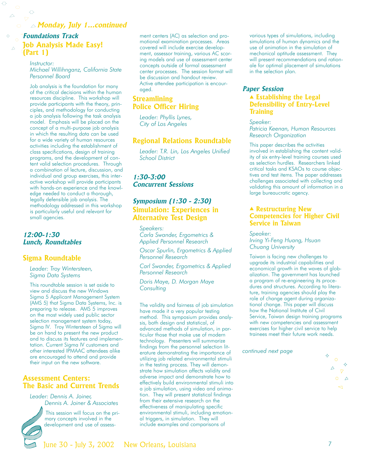### **Monday, July 1...continued**

## **Foundations Track Job Analysis Made Easy! (Part 1)**

 $\Diamond$ 

 $\triangle$ 

*Instructor: Michael Willihnganz, California State Personnel Board*

Job analysis is the foundation for many of the critical decisions within the human resources discipline. This workshop will provide participants with the theory, principles, and methodology for conducting a job analysis following the task analysis model. Emphasis will be placed on the concept of a multi-purpose job analysis in which the resulting data can be used for a wide variety of human resources activities including the establishment of class specifications, design of training programs, and the development of content valid selection procedures. Through a combination of lecture, discussion, and individual and group exercises, this interactive workshop will provide participants with hands-on experience and the knowledge needed to conduct a thorough, legally defensible job analysis. The methodology addressed in this workshop is particularly useful and relevant for small agencies.

#### **12:00-1:30 Lunch, Roundtables**

#### **Sigma Roundtable**

*Leader: Troy Wintersteen, Sigma Data Systems*

This roundtable session is set aside to view and discuss the new Windows Sigma 5 Applicant Management System (AMS 5) that Sigma Data Systems, Inc. is preparing to release. AMS 5 improves on the most widely used public sector selection management system today, Sigma IV. Troy Wintersteen of Sigma will be on hand to present the new product and to discuss its features and implementation. Current Sigma IV customers and other interested IPMAAC attendees alike are encouraged to attend and provide their input on the new software.

## **Assessment Centers: The Basic and Current Trends**

*Leader: Dennis A. Joiner, Dennis A. Joiner & Associates*



This session will focus on the primary concepts involved in the development and use of assessment centers (AC) as selection and promotional examination processes. Areas covered will include exercise development, assessor training, various AC scoring models and use of assessment center concepts outside of formal assessment center processes. The session format will be discussion and handout review. Active attendee participation is encouraged.

## **Streamlining Police Officer Hiring**

*Leader: Phyllis Lynes, City of Los Angeles*

#### **Regional Relations Roundtable**

*Leader: T.R. Lin, Los Angeles Unified School District*

**1:30-3:00 Concurrent Sessions**

## **Symposium (1:30 - 2:30) Simulation: Experiences in Alternative Test Design**

*Speakers: Carla Swander, Ergometrics & Applied Personnel Research*

*Oscar Spurlin, Ergometrics & Applied Personnel Research*

*Carl Swander, Ergometrics & Applied Personnel Research*

*Doris Maye, D. Morgan Maye Consulting*

The validity and fairness of job simulation have made it a very popular testing method. This symposium provides analysis, both design and statistical, of advanced methods of simulation, in particular those that make use of modern technology. Presenters will summarize findings from the personnel selection literature demonstrating the importance of utilizing job related environmental stimuli in the testing process. They will demonstrate how simulation affects validity and adverse impact and demonstrate how to effectively build environmental stimuli into a job simulation, using video and animation. They will present statistical findings from their extensive research on the effectiveness of manipulating specific environmental stimuli, including emotional triggers, in simulation. They will include examples and comparisons of

various types of simulations, including simulations of human dynamics and the use of animation in the simulation of mechanical aptitude assessment. They will present recommendations and rationale for optimal placement of simulations in the selection plan.

#### **Paper Session**

▲ **Establishing the Legal Defensibility of Entry-Level Training**

*Speaker: Patricia Keenan, Human Resources Research Organization*

This paper describes the activities involved in establishing the content validity of six entry-level training courses used as selection hurdles. Researchers linked critical tasks and KSAOs to course objectives and test items. The paper addresses challenges associated with collecting and validating this amount of information in a large bureaucratic agency.

#### ▲ **Restructuring New Competencies for Higher Civil Service in Taiwan**

*Speaker:*

*Irving Yi-Feng Huang, Hsuan Chuang University*

Taiwan is facing new challenges to upgrade its industrial capabilities and economical growth in the waves of globalization. The government has launched a program of re-engineering its procedures and structures. According to literature, training agencies should play the role of change agent during organizational change. This paper will discuss how the National Institute of Civil Service, Taiwan design training programs with new competencies and assessment exercises for higher civil service to help trainees meet their future work needs.

*continued next page*

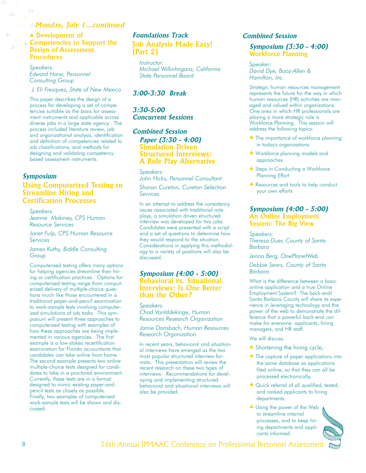#### **Monday, July 1...continued**

▲ **Development of Competencies to Support the Design of Assessment Procedures**

> *Speakers: Edward Hane, Personnel Consulting Group*

*J. Eli Fresquez, State of New Mexico*

This paper describes the design of a process for developing a set of competencies suitable as the basis for assessment instruments and applicable across diverse jobs in a large state agency. The process included literature review, job and organizational analysis, identification and definition of competencies related to job classifications, and methods for designing and validating competencybased assessment instruments.

#### **Symposium**

Ō

 $\triangle$ 

#### **Using Computerized Testing to Streamline Hiring and Certification Processes**

*Speakers: Jeanne Makiney, CPS Human Resource Services*

*Janet Fulp, CPS Human Resource Services*

*James Kuthy, Biddle Consulting Group*

Computerized testing offers many options for helping agencies streamline their hiring or certification practices. Options for computerized testing range from computerized delivery of multiple-choice questions much like those encountered in a traditional paper-and-pencil examination to work-sample tests involving computerized simulations of job tasks. This symposium will present three approaches to computerized testing with examples of how these approaches are being implemented in various agencies. The first example is a low-stakes recertification examination for Florida accountants that candidates can take online from home. The second example presents two online multiple-choice tests designed for candidates to take in a proctored environment. Currently, these tests are in a format designed to mimic existing paper-andpencil tests as closely as possible. Finally, two examples of computerized work-sample tests will be shown and discussed.

## **Foundations Track Job Analysis Made Easy! (Part 2)**

*Instructor: Michael Willinhnganz, California State Personnel Board*

#### **3:00-3:30 Break**

**3:30-5:00 Concurrent Sessions**

#### **Combined Session**

**Paper (3:30 - 4:00) Simulation Driven Structured Interviews: A Role Play Alternative**

*Speakers: John Hicks, Personnel Consultant*

*Sharon Cureton, Cureton Selection Services*

In an attempt to address the consistency issues associated with traditional roleplays, a simulation driven structured interview was developed for two jobs. Candidates were presented with a script and a set of questions to determine how they would respond to the situation. Considerations in applying this methodology to a variety of positions will also be discussed.

#### **Symposium (4:00 - 5:00) Behavioral vs. Situational Interviews: Is One Better than the Other?**

*Speakers: Chad VanIddekinge, Human Resources Research Organization*

*Jamie Donsbach, Human Resources Research Organization*

In recent years, behavioral and situational interviews have emerged as the two most popular structured interview formats. This presentation will review the recent research on these two types of interviews. Recommendations for developing and implementing structured behavioral and situational interviews will also be provided.

#### **Combined Session**

#### **Symposium (3:30 - 4:00) Workforce Planning**

*Speaker: David Dye, Booz-Allen & Hamilton, Inc.*

Strategic human resources management represents the future for the way in which human resources (HR) activities are managed and valued within organizations. One area in which HR professionals are playing a more strategic role is Workforce Planning. This session will address the following topics:

- ▲ The importance of workforce planning in today's organizations
- ▲ Workforce planning models and approaches
- ▲ Steps in Conducting a Workforce Planning Effort
- ▲ Resources and tools to help conduct your own efforts

#### **Symposium (4:00 - 5:00) An Online Employment System: The Big View**

*Speakers: Theresa Duer, County of Santa Barbara*

*Jenna Berg, OnePlanetWeb*

*Debbie Sears, County of Santa Barbara*

What is the difference between a basic online application and a true Online Employment System? The back-end! Santa Barbara County will share its experience in leveraging technology and the power of the web to demonstrate the difference that a powerful back-end can make for everyone: applicants, hiring managers, and HR staff.

We will discuss:

- ▲ Shortening the hiring cycle;
- ▲ The capture of paper applications into the same database as applications filed online, so that they can all be processed electronically;
- ▲ Quick referral of all qualified, tested, and ranked applicants to hiring departments.
- $\triangle$  Using the power of the Web to streamline internal processes, and to keep hiring departments and applicants informed.

8 26th Annual IPMAAC Conference on Professional Personnel Assessment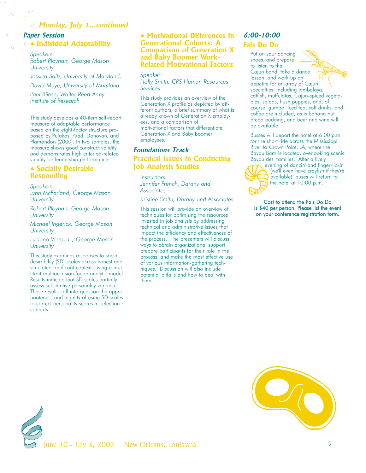## **Monday, July 1...continued**

## **Paper Session** ▲ **Individual Adaptability**

*Speakers: Robert Ployhart, George Mason University*

*Jessica Saltz, University of Maryland, David Maye, University of Maryland*

*Paul Bliese, Walter Reed Army Institute of Research*

This study develops a 40-item self-report measure of adaptable performance based on the eight-factor structure proposed by Pulakos, Arad, Donovan, and Plamondon (2000). In two samples, the measure shows good construct validity and demonstrates high criterion-related validity for leadership performance.

#### ▲ **Socially Desirable Responding**

*Speakers:*

*Lynn McFarland, George Mason University*

*Robert Ployhart, George Mason University*

*Michael Ingerick, George Mason University*

*Luciano Viera, Jr., George Mason University*

This study examines responses to social desirability (SD) scales across honest and simulated-applicant contexts using a multitrait-multioccasion factor analytic model. Results indicate that SD scales partially assess substantive personality variance. These results call into question the appropriateness and legality of using SD scales to correct personality scores in selection contexts.

#### ▲ **Motivational Differences in Generational Cohorts: A Comparison of Generation X and Baby Boomer Work-Related Motivational Factors**

*Speaker: Holly Smith, CPS Human Resources Services*

This study provides an overview of the Generation X profile as depicted by different authors, a brief summary of what is already known of Generation X employees, and a comparison of motivational factors that differentiate Generation X and Baby Boomer employees.

## **Foundations Track Practical Issues in Conducting Job Analysis Studies**

*Instructors: Jennifer French, Darany and Associates*

*Kristine Smith, Darany and Associates*

This session will provide an overview of techniques for optimizing the resources invested in job analysis by addressing technical and administrative issues that impact the efficiency and effectiveness of the process. The presenters will discuss ways to obtain organizational support, prepare participants for their role in the process, and make the most effective use of various information-gathering techniques. Discussion will also include potential pitfalls and how to deal with them.

## **6:00-10:00**

## **Fais Do Do**

Put on your dancing shoes, and prepare to listen to the Cajun band, take a dance lesson, and work up an appetite for an array of Cajun specialties, including jambalaya, catfish, muffulatas, Cajun-spiced vegetables, salads, hush puppies, and, of course, gumbo. Iced tea, soft drinks, and coffee are included, as is banana nut bread pudding, and beer and wine will be available.

Busses will depart the hotel at 6:00 p.m. for the short ride across the Mississippi River to Crown Point, LA, where the Bayou Barn is located, overlooking scenic Bayou des Families. After a lively



evening of dancin' and finger-lickin' (we'll even have crayfish if they're available), buses will return to the hotel at 10:00 p.m.

Cost to attend the Fais Do Do is \$40 per person. Please list the event on your conference registration form.



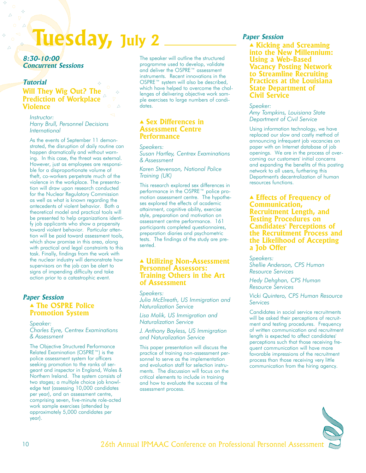# **Tuesday, July 2**

**8:30-10:00 Concurrent Sessions**

## **Tutorial Will They Wig Out? The Prediction of Workplace Violence**

*Instructor: Harry Brull, Personnel Decisions International*

As the events of September 11 demonstrated, the disruption of daily routine can happen dramatically and without warning. In this case, the threat was external. However, just as employees are responsible for a disproportionate volume of theft, co-workers perpetrate much of the violence in the workplace. The presentation will draw upon research conducted for the Nuclear Regulatory Commission as well as what is known regarding the antecedents of violent behavior. Both a theoretical model and practical tools will be presented to help organizations identify job applicants who show a propensity toward violent behavior. Particular attention will be paid toward assessment tools, which show promise in this area, along with practical and legal constraints to this task. Finally, findings from the work with the nuclear industry will demonstrate how supervisors on the job can be alert to signs of impending difficulty and take action prior to a catastrophic event.

## **Paper Session** ▲ **The OSPRE Police Promotion System**

*Speaker: Charles Eyre, Centrex Examinations & Assessment*

The Objective Structured Performance Related Examination (OSPRE™) is the police assessment system for officers seeking promotion to the ranks of sergeant and inspector in England, Wales & Northern Ireland. The system consists of two stages; a multiple choice job knowledge test (assessing 10,000 candidates per year), and an assessment centre, comprising seven, five-minute role-acted work sample exercises (attended by approximately 5,000 candidates per year).

The speaker will outline the structured programme used to develop, validate and deliver the OSPRE™ assessment instruments. Recent innovations in the OSPRE™ system will also be described, which have helped to overcome the challenges of delivering objective work sample exercises to large numbers of candidates.

#### ▲ **Sex Differences in Assessment Centre Performance**

*Speakers:* 

*Susan Hartley, Centrex Examinations & Assessment*

*Karen Stevenson, National Police Training (UK)*

This research explored sex differences in performance in the OSPRE™ police promotion assessment centre. The hypotheses explored the effects of academic attainment, cognitive ability, exercise style, preparation and motivation on assessment centre performance. 161 participants completed questionnaires, preparation diaries and psychometric tests. The findings of the study are presented.

#### ▲ **Utilizing Non-Assessment Personnel Assessors: Training Others in the Art of Assessment**

*Speakers: Julia McElreath, US Immigration and Naturalization Service*

*Lisa Malik, US Immigration and Naturalization Service*

*J. Anthony Bayless, US Immigration and Naturalization Service*

This paper presentation will discuss the practice of training non-assessment personnel to serve as the implementation and evaluation staff for selection instruments. The discussion will focus on the critical elements to include in training and how to evaluate the success of the assessment process.

## **Paper Session**

▲ **Kicking and Screaming into the New Millennium: Using a Web-Based Vacancy Posting Network to Streamline Recruiting Practices at the Louisiana State Department of Civil Service**

*Speaker: Amy Tompkins, Louisiana State Department of Civil Service*

Using information technology, we have replaced our slow and costly method of announcing infrequent job vacancies on paper with an Internet database of job openings. We are in the process of overcoming our customers' initial concerns and expanding the benefits of this posting network to all users, furthering this Department's decentralization of human resources functions.

#### ▲ **Effects of Frequency of Communication, Recruitment Length, and Testing Procedures on Candidates' Perceptions of the Recruitment Process and the Likelihood of Accepting a Job Offer**

*Speakers: Shellie Anderson, CPS Human Resource Services*

*Hedy Dehghan, CPS Human Resource Services*

*Vicki Quintero, CPS Human Resource Services*

Candidates in social service recruitments will be asked their perceptions of recruitment and testing procedures. Frequency of written communication and recruitment length is expected to affect candidates' perceptions such that those receiving frequent communication will have more favorable impressions of the recruitment process than those receiving very little communication from the hiring agency.

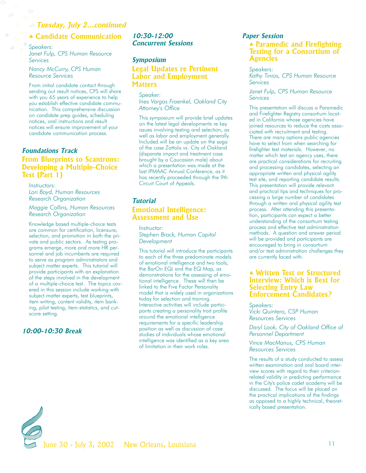## **Tuesday, July 2...continued**

## ▲ **Candidate Communication**

*Speakers: Janet Fulp, CPS Human Resource Services*

*Nancy McCurry, CPS Human Resource Services*

 $\Delta^+$ 

From initial candidate contact through sending out result notices, CPS will share with you 65 years of experience to help you establish effective candidate communication. This comprehensive discussion on candidate prep guides, scheduling notices, oral instructions and result notices will ensure improvement of your candidate communication process.

## **Foundations Track From Blueprints to Scantrons: Developing a Multiple-Choice Test (Part 1)**

*Instructors: Lori Boyd, Human Resources Research Organization*

*Maggie Collins, Human Resources Research Organization*

Knowledge based multiple-choice tests are common for certification, licensure, selection, and promotion in both the private and public sectors. As testing programs emerge, more and more HR personnel and job incumbents are required to serve as program administrators and subject matter experts. This tutorial will provide participants with an explanation of the steps involved in the development of a multiple-choice test. The topics covered in this session include working with subject matter experts, test blueprints, item writing, content validity, item banking, pilot testing, item-statistics, and cutscore setting.

## **10:00-10:30 Break**

#### **10:30-12:00 Concurrent Sessions**

#### **Symposium**

## **Legal Updates re Pertinent Labor and Employment Matters**

*Speaker: Ines Vargas Fraenkel, Oakland City Attorney's Office*

This symposium will provide brief updates on the latest legal developments re key issues involving testing and selection, as well as labor and employment generally. Included will be an update on the saga of the case Zottola vs. City of Oakland (disparate impact and treatment case brought by a Caucasian male) about which a presentation was made at the last IPMAAC Annual Conference, as it has recently proceeded through the 9th Circuit Court of Appeals.

## **Tutorial Emotional Intelligence: Assessment and Use**

*Instructor: Stephen Brock, Human Capital Development*

This tutorial will introduce the participants to each of the three predominate models of emotional intelligence and two tools, the BarOn EQi and the EQ Map, as demonstrations for the assessing of emotional intelligence. These will then be linked to the Five Factor Personality model that is widely used in organizations today for selection and training. Interactive activities will include participants creating a personality trait profile around the emotional intelligence requirements for a specific leadership position as well as discussion of case studies of individuals whose emotional intelligence was identified as a key area of limitation in their work roles.

#### **Paper Session** ▲ **Paramedic and Firefighting Testing for a Consortium of Agencies**

*Speakers: Kathy Tinios, CPS Human Resource Services*

*Janet Fulp, CPS Human Resource Services*

This presentation will discuss a Paramedic and Firefighter Registry consortium located in California whose agencies have joined resources to reduce the costs associated with recruitment and testing. There are many options public agencies have to select from when searching for firefighter test materials. However, no matter which test an agency uses, there are practical considerations for recruiting and processing candidates, selecting an appropriate written and physical agility test site, and reporting candidate results. This presentation will provide relevant and practical tips and techniques for processing a large number of candidates through a written and physical agility test process. After attending this presentation, participants can expect a better understanding of the consortium testing process and effective test administration methods. A question and answer period will be provided and participants are encouraged to bring in consortium and/or test administration challenges they are currently faced with.

#### ▲ **Written Test or Structured Interview: Which is Best for Selecting Entry Law Enforcement Candidates?**

*Speakers: Vicki Quintero, CSP Human Resources Services*

*Daryl Look, City of Oakland Office of Personnel Department*

*Vince MacManus, CPS Human Resources Services*

The results of a study conducted to assess written examination and oral board interview scores with regard to their criterionrelated validity in predicting performance in the City's police cadet academy will be discussed. The focus will be placed on the practical implications of the findings as opposed to a highly technical, theoretically based presentation.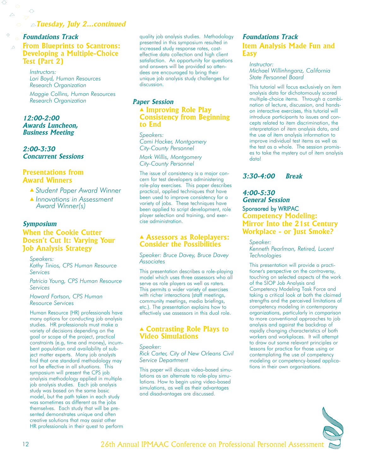## **Tuesday, July 2...continued**

## **Foundations Track**

♦

 $\Delta^+$ 

**From Blueprints to Scantrons: Developing a Multiple-Choice Test (Part 2)**

*Instructors: Lori Boyd, Human Resources Research Organization*

*Maggie Collins, Human Resources Research Organization*

**12:00-2:00 Awards Luncheon, Business Meeting**

**2:00-3:30 Concurrent Sessions**

### **Presentations from Award Winners**

- ▲ *Student Paper Award Winner*
- ▲ *Innovations in Assessment Award Winner(s)*

#### **Symposium**

## **When the Cookie Cutter Doesn't Cut It: Varying Your Job Analysis Strategy**

*Speakers: Kathy Tinios, CPS Human Resource Services*

*Patricia Young, CPS Human Resource Services*

*Howard Fortson, CPS Human Resource Services*

Human Resource (HR) professionals have many options for conducting job analysis studies. HR professionals must make a variety of decisions depending on the goal or scope of the project, practical constraints (e.g, time and money), incumbent population and availability of subject matter experts. Many job analysts find that one standard methodology may not be effective in all situations. This symposium will present the CPS job analysis methodology applied in multiple job analysis studies. Each job analysis study was based on the same basic model, but the path taken in each study was sometimes as different as the jobs themselves. Each study that will be presented demonstrates unique and often creative solutions that may assist other HR professionals in their quest to perform quality job analysis studies. Methodology presented in this symposium resulted in increased study response rates, costeffective data collection and high client satisfaction. An opportunity for questions and answers will be provided so attendees are encouraged to bring their unique job analysis study challenges for discussion.

#### **Paper Session**

#### ▲ **Improving Role Play Consistency from Beginning to End**

*Speakers: Cami Hacker, Montgomery City-County Personnel*

*Mark Willis, Montgomery City-County Personnel*

The issue of consistency is a major concern for test developers administering role-play exercises. This paper describes practical, applied techniques that have been used to improve consistency for a variety of jobs. These techniques have been applied to script development, role player selection and training, and exercise administration.

#### ▲ **Assessors as Roleplayers: Consider the Possibilities**

*Speaker: Bruce Davey, Bruce Davey Associates*

This presentation describes a role-playing model which uses three assessors who all serve as role players as well as raters. This permits a wider variety of exercises with richer interactions (staff meetings, community meetings, media briefings, etc.). The presentation explains how to effectively use assessors in this dual role.

#### ▲ **Contrasting Role Plays to Video Simulations**

#### *Speaker:*

*Rick Carter, City of New Orleans Civil Service Department*

This paper will discuss video-based simulations as an alternate to role-play simulations. How to begin using video-based simulations, as well as their advantages and disadvantages are discussed.

## **Foundations Track Item Analysis Made Fun and Easy**

*Instructor: Michael Willinhnganz, California State Personnel Board* 

This tutorial will focus exclusively on item analysis data for dichotomously scored multiple-choice items. Through a combination of lecture, discussion, and handson interactive exercises, this tutorial will introduce participants to issues and concepts related to item discrimination, the interpretation of item analysis data, and the use of item analysis information to improve individual test items as well as the test as a whole. The session promises to take the mystery out of item analysis data!

#### **3:30-4:00 Break**

## **4:00-5:30 General Session** Sponsored by WRIPAC **Competency Modeling: Mirror Into the 21st Century Workplace - or Just Smoke?**

*Speaker:* 

*Kenneth Pearlman, Retired, Lucent Technologies*

This presentation will provide a practitioner's perspective on the controversy, touching on selected aspects of the work of the SIOP Job Analysis and Competency Modeling Task Force and taking a critical look at both the claimed strengths and the perceived limitations of competency modeling in contemporary organizations, particularly in comparison to more conventional approaches to job analysis and against the backdrop of rapidly changing characteristics of both workers and workplaces. It will attempt to draw out some relevant principles or lessons for practice for those using or contemplating the use of competency modeling or competency-based applications in their own organizations.

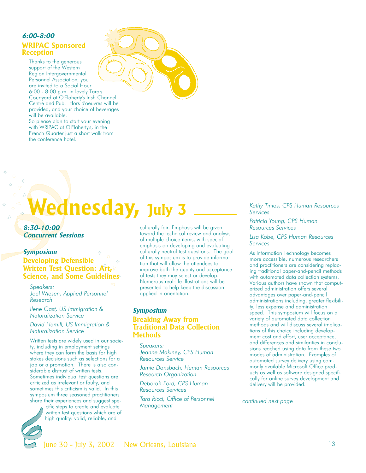## **6:00-8:00 WRIPAC Sponsored Reception**

the conference hotel.

Thanks to the generous support of the Western Region Intergovernmental Personnel Association, you are invited to a Social Hour 6:00 - 8:00 p.m. in lovely Tara's Courtyard at O'Flaherty's Irish Channel Centre and Pub. Hors d'oeuvres will be provided, and your choice of beverages will be available. So please plan to start your evening with WRIPAC at O'Flaherty's, in the French Quarter just a short walk from



# **Wednesday, July 3**

**8:30-10:00 Concurrent Sessions**

#### **Symposium**

## **Developing Defensible Written Test Question: Art, Science, and Some Guidelines**

*Speakers: Joel Wiesen, Applied Personnel Research*

*Ilene Gast, US Immigration & Naturalization Service*

*David Hamill, US Immigration & Naturalization Service*

Written tests are widely used in our society, including in employment settings where they can form the basis for high stakes decisions such as selections for a job or a promotion. There is also considerable distrust of written tests. Sometimes individual test questions are criticized as irrelevant or faulty, and sometimes this criticism is valid. In this symposium three seasoned practitioners share their experiences and suggest spe-

cific steps to create and evaluate written test questions which are of high quality: valid, reliable, and

culturally fair. Emphasis will be given toward the technical review and analysis of multiple-choice items, with special emphasis on developing and evaluating culturally neutral test questions. The goal of this symposium is to provide information that will allow the attendees to improve both the quality and acceptance of tests they may select or develop. Numerous real-life illustrations will be presented to help keep the discussion applied in orientation.

## **Symposium Breaking Away from Traditional Data Collection Methods**

*Speakers: Jeanne Makiney, CPS Human Resources Service*

*Jamie Donsbach, Human Resources Research Organization*

*Deborah Ford, CPS Human Resources Services*

*Tara Ricci, Office of Personnel Management*

*Kathy Tinios, CPS Human Resources Services*

*Patricia Young, CPS Human Resources Services*

*Lisa Kobe, CPS Human Resources Services*

As Information Technology becomes more accessible, numerous researchers and practitioners are considering replacing traditional paper-and-pencil methods with automated data collection systems. Various authors have shown that computerized administration offers several advantages over paper-and-pencil administrations including, greater flexibility, less expense and administration speed. This symposium will focus on a variety of automated data collection methods and will discuss several implications of this choice including development cost and effort, user acceptance, and differences and similarities in conclusions reached using data from these two modes of administration. Examples of automated survey delivery using commonly available Microsoft Office products as well as software designed specifically for online survey development and delivery will be provided.

*continued next page*

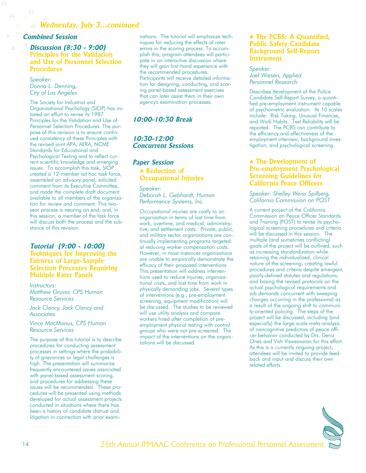#### **Combined Session**

 $\Diamond$ 

#### **Discussion (8:30 - 9:00) Principles for the Validation and Use of Personnel Selection Procedures**

*Speaker: Donna L. Denning, City of Los Angeles*

The Society for Industrial and Organizational Psychology (SIOP) has initiated an effort to revise its 1987 Principles for the Validation and Use of Personnel Selection Procedures. The purpose of this revision is to ensure continued consistency of these Principles with the revised joint APA, AERA, NCME Standards for Educational and Psychological Testing and to reflect current scientific knowledge and emerging issues. To accomplish this task, SIOP created a 12-member ad hoc task force, assembled an advisory panel, solicited comment from its Executive Committee, and made the complete draft document available to all members of the organization for review and comment. This twoyear process is nearing an end, and, in this session, a member of the task force will discuss both the process and the substance of this revision.

#### **Tutorial (9:00 - 10:00)**

**Techniques for Improving the Fairness of Large-Sample Selection Processes Requiring Multiple Rater Panels**

*Instructors: Matthew Gruver, CPS Human Resource Services*

*Jack Clancy, Jack Clancy and Associates*

*Vince MacManus, CPS Human Resource Services*

The purpose of this tutorial is to describe procedures for conducting assessment processes in settings where the probability of grievances or legal challenges is high. The presentation will summarize frequently encountered issues associated with panel-based assessment scoring, and procedures for addressing these issues will be recommended. These procedures will be presented using methods developed for actual assessment projects conducted in situations where there has been a history of candidate distrust and litigation in connection with prior examinations. The tutorial will emphasize techniques for reducing the effects of rater errors in the scoring process. To accomplish this, program attendees will participate in an interactive discussion where they will gain first-hand experience with the recommended procedures. Participants will receive detailed information for designing, conducting, and scoring panel-based assessment exercises that can later assist them in their own agency's examination processes.

### **10:00-10:30 Break**

### **10:30-12:00 Concurrent Sessions**

#### **Paper Session** ▲ **Reduction of**

**Occupational Injuries**

*Speaker: Deborah L. Gebhardt, Human Performance Systems, Inc.*

Occupational injuries are costly to an organization in terms of lost time from work, overtime, and medical, administrative, and settlement costs. Private, public, and military sector organizations are continually implementing programs targeted at reducing worker compensation costs. However, in most instances organizations are unable to empirically demonstrate the efficacy of their proposed interventions. This presentation will address interventions used to reduce injuries, organizational costs, and lost time from work in physically demanding jobs. Several types of interventions (e.g., pre-employment screening, equipment modification) will be discussed. The studies to be reviewed will use utility analysis and compare workers hired after completion of preemployment physical testing with control groups who were not pre-screened. The impact of the interventions on the organizations will be discussed.

#### ▲ **The PCBS: A Quantified, Public Safety Candidate Background Self-Report Instrument**

*Speaker: Joel Wiesen, Applied Personnel Research*

Describes development of the Police Candidate Self-Report Survey, a quantified pre-employment instrument capable of psychometric evaluation. Its 10 scales include: Risk Taking, Unusual Finances, and Work Habits. Test Reliability will be reported. The PCBS can contribute to the efficiency and effectiveness of the employment interview, background investigation, and psychological screening.

#### ▲ **The Development of Pre-employment Psychological Screening Guidelines for California Peace Officers**

*Speaker: Shelley Weiss Spilberg, California Commission on POST*

A current project of the California Commission on Peace Officer Standards and Training (POST) to revise its psychological screening procedures and criteria will be discussed in this session. The multiple (and sometimes conflicting) goals of the project will be outlined, such as increasing standardization while retaining the individualized, clinical nature of the screening; creating lawful procedures and criteria despite emergent, poorly-defined statutes and regulations; and basing the revised protocols on the actual psychological requirements and job demands concurrent with sweeping changes occurring in the professional as a result of the ongoing shift to community-oriented policing. The steps of the project will be discussed, including (and especially) the large-scale meta-analysis of noncognitive predictors of peace officer behavior conducted by Drs. Deniz Ones and Vish Viswesvaran for this effort. As this is a currently ongoing project, attendees will be invited to provide feedback and input and discuss their own related efforts.

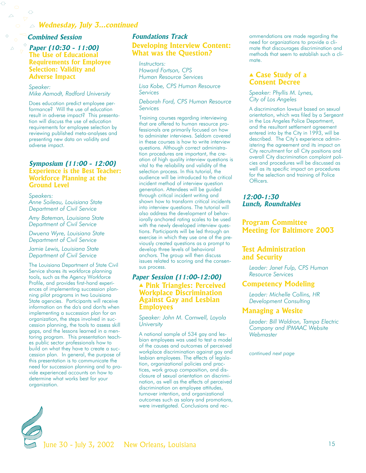## **Wednesday, July 3...continued**

#### **Combined Session**

#### **Paper (10:30 - 11:00) The Use of Educational Requirements for Employee Selection: Validity and Adverse Impact**

#### *Speaker:*

Ō

*Mike Aamodt, Radford University*

Does education predict employee performance? Will the use of education result in adverse impact? This presentation will discuss the use of education requirements for employee selection by reviewing published meta-analyses and presenting new data on validity and adverse impact.

#### **Symposium (11:00 - 12:00) Experience is the Best Teacher: Workforce Planning at the Ground Level**

*Speakers: Anne Soileau, Louisiana State Department of Civil Service*

*Amy Bateman, Louisiana State Department of Civil Service*

*Dwuena Wyre, Louisiana State Department of Civil Service*

#### *Jamie Lewis, Louisiana State Department of Civil Service*

The Louisiana Department of State Civil Service shares its workforce planning tools, such as the Agency Workforce Profile, and provides first-hand experiences of implementing succession planning pilot programs in two Louisiana State agencies. Participants will receive information on the do's and don'ts when implementing a succession plan for an organization, the steps involved in succession planning, the tools to assess skill gaps, and the lessons learned in a mentoring program. This presentation teaches public sector professionals how to build on what they have to create a succession plan. In general, the purpose of this presentation is to communicate the need for succession planning and to provide experienced accounts on how to determine what works best for your organization.

## **Foundations Track Developing Interview Content: What was the Question?**

*Instructors: Howard Fortson, CPS Human Resource Services*

*Lisa Kobe, CPS Human Resource Services*

*Deborah Ford, CPS Human Resource Services*

Training courses regarding interviewing that are offered to human resource professionals are primarily focused on how to administer interviews. Seldom covered in these courses is how to write interview questions. Although correct administration procedures are important, the creation of high quality interview questions is vital to the reliability and validity of the selection process. In this tutorial, the audience will be introduced to the critical incident method of interview question generation. Attendees will be guided through critical incident writing and shown how to transform critical incidents into interview questions. The tutorial will also address the development of behaviorally anchored rating scales to be used with the newly developed interview questions. Participants will be led through an exercise in which they use one of the previously created questions as a prompt to develop three levels of behavioral anchors. The group will then discuss issues related to scoring and the consensus process.

#### **Paper Session (11:00-12:00)** ▲ **Pink Triangles: Perceived Workplace Discrimination Against Gay and Lesbian Employees**

*Speaker: John M. Cornwell, Loyola University*

A national sample of 534 gay and lesbian employees was used to test a model of the causes and outcomes of perceived workplace discrimination against gay and lesbian employees. The effects of legislation, organizational policies and practices, work group composition, and disclosure of sexual orientation on discrimination, as well as the effects of perceived discrimination on employee attitudes, turnover intention, and organizational outcomes such as salary and promotions, were investigated. Conclusions and recommendations are made regarding the need for organizations to provide a climate that discourages discrimination and methods that seem to establish such a climate.

#### ▲ **Case Study of a Consent Decree**

*Speaker: Phyllis M. Lynes, City of Los Angeles*

A discrimination lawsuit based on sexual orientation, which was filed by a Sergeant in the Los Angeles Police Department, and the resultant settlement agreement entered into by the City in 1993, will be described. The City's experience administering the agreement and its impact on City recruitment for all City positions and overall City discrimination complaint policies and procedures will be discussed as well as its specific impact on procedures for the selection and training of Police Officers.

#### **12:00-1:30 Lunch, Roundtables**

## **Program Committee Meeting for Baltimore 2003**

## **Test Administration and Security**

*Leader: Janet Fulp, CPS Human Resource Services*

#### **Competency Modeling**

*Leader: Michelle Collins, HR Development Consulting*

#### **Managing a Wesite**

*Leader: Bill Waldron, Tampa Electric Company and IPMAAC Website Webmaster*

*continued next page*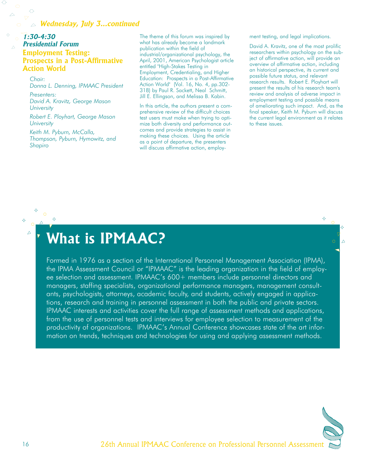## **Wednesday, July 3...continued**

## **1:30-4:30 Presidential Forum Employment Testing: Prospects in a Post-Affirmative Action World**

*Chair: Donna L. Denning, IPMAAC President*

*Presenters: David A. Kravitz, George Mason University*

*Robert E. Ployhart, George Mason University*

*Keith M. Pyburn, McCalla, Thompson, Pyburn, Hymowitz, and Shapiro*

The theme of this forum was inspired by what has already become a landmark publication within the field of industrial/organizational psychology, the April, 2001, American Psychologist article entitled "High-Stakes Testing in Employment, Credentialing, and Higher Education: Prospects in a Post-Affirmative Action World" (Vol. 16, No. 4, pp.302- 318) by Paul R. Sackett, Neal Schmitt, Jill E. Ellingson, and Melissa B. Kabin.

In this article, the authors present a comprehensive review of the difficult choices test users must make when trying to optimize both diversity and performance outcomes and provide strategies to assist in making these choices. Using the article as a point of departure, the presenters will discuss affirmative action, employment testing, and legal implications.

David A. Kravitz, one of the most prolific researchers within psychology on the subject of affirmative action, will provide an overview of affirmative action, including an historical perspective, its current and possible future status, and relevant research results. Robert E. Ployhart will present the results of his research team's review and analysis of adverse impact in employment testing and possible means of ameliorating such impact. And, as the final speaker, Keith M. Pyburn will discuss the current legal environment as it relates to these issues.

# **What is IPMAAC?**

Formed in 1976 as a section of the International Personnel Management Association (IPMA), the IPMA Assessment Council or "IPMAAC" is the leading organization in the field of employee selection and assessment. IPMAAC's 600+ members include personnel directors and managers, staffing specialists, organizational performance managers, management consultants, psychologists, attorneys, academic faculty, and students, actively engaged in applications, research and training in personnel assessment in both the public and private sectors. IPMAAC interests and activities cover the full range of assessment methods and applications, from the use of personnel tests and interviews for employee selection to measurement of the productivity of organizations. IPMAAC's Annual Conference showcases state of the art information on trends, techniques and technologies for using and applying assessment methods.



♦

 $\triangle$ 

 $\Delta$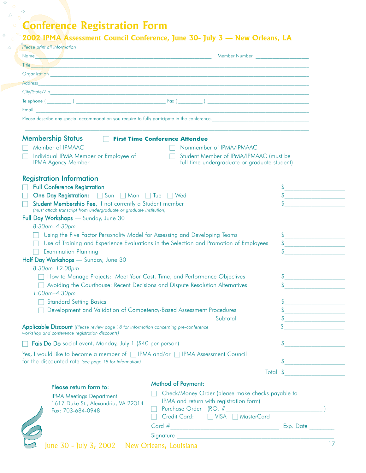# **Conference Registration Form**

♦

♦

 $\Delta$ 

 $\triangle$ 

## **2002 IPMA Assessment Council Conference, June 30- July 3 — New Orleans, LA**

| Please print all information                                                                                                                              |                                                                                                                                                                                                                                |                                       |  |  |
|-----------------------------------------------------------------------------------------------------------------------------------------------------------|--------------------------------------------------------------------------------------------------------------------------------------------------------------------------------------------------------------------------------|---------------------------------------|--|--|
|                                                                                                                                                           | Name Mumber (2008) Member Alumber (2009) Member (2009) Member (2009) Member (2009) Member (2009) Member (2009) Member (2009) Member (2009) Member (2009) Member (2009) Member (2009) Member (2009) Member (2009) Member (2009) |                                       |  |  |
|                                                                                                                                                           | Title the state of the state of the state of the state of the state of the state of the state of the state of the state of the state of the state of the state of the state of the state of the state of the state of the stat |                                       |  |  |
|                                                                                                                                                           |                                                                                                                                                                                                                                |                                       |  |  |
| <b>Address</b>                                                                                                                                            |                                                                                                                                                                                                                                |                                       |  |  |
|                                                                                                                                                           |                                                                                                                                                                                                                                |                                       |  |  |
|                                                                                                                                                           |                                                                                                                                                                                                                                |                                       |  |  |
| Email                                                                                                                                                     | <u> 1989 - Andrea Stadt Britain, amerikan bestean ingilang di sebagai personal di sebagai personal di sebagai pe</u>                                                                                                           |                                       |  |  |
|                                                                                                                                                           | Please describe any special accommodation you require to fully participate in the conference.                                                                                                                                  |                                       |  |  |
| <b>Membership Status</b>                                                                                                                                  | <b>First Time Conference Attendee</b>                                                                                                                                                                                          |                                       |  |  |
| Member of IPMAAC                                                                                                                                          | Nonmember of IPMA/IPMAAC                                                                                                                                                                                                       |                                       |  |  |
| Individual IPMA Member or Employee of<br><b>IPMA Agency Member</b>                                                                                        | Student Member of IPMA/IPMAAC (must be<br>full-time undergraduate or graduate student)                                                                                                                                         |                                       |  |  |
| <b>Registration Information</b>                                                                                                                           |                                                                                                                                                                                                                                |                                       |  |  |
| <b>Full Conference Registration</b>                                                                                                                       |                                                                                                                                                                                                                                |                                       |  |  |
| One Day Registration: Sun Mon Tue Ned<br>Student Membership Fee, if not currently a Student member                                                        |                                                                                                                                                                                                                                | \$<br>\$                              |  |  |
| (must attach transcript from undergraduate or graduate institution)                                                                                       |                                                                                                                                                                                                                                |                                       |  |  |
| Full Day Workshops - Sunday, June 30                                                                                                                      |                                                                                                                                                                                                                                |                                       |  |  |
| 8:30am-4:30pm                                                                                                                                             |                                                                                                                                                                                                                                |                                       |  |  |
| Using the Five Factor Personality Model for Assessing and Developing Teams                                                                                |                                                                                                                                                                                                                                | \$                                    |  |  |
| Use of Training and Experience Evaluations in the Selection and Promotion of Employees<br>\$                                                              |                                                                                                                                                                                                                                |                                       |  |  |
| \$<br><b>Examination Planning</b>                                                                                                                         |                                                                                                                                                                                                                                |                                       |  |  |
| Half Day Workshops - Sunday, June 30                                                                                                                      |                                                                                                                                                                                                                                |                                       |  |  |
| 8:30am-12:00pm                                                                                                                                            |                                                                                                                                                                                                                                |                                       |  |  |
| How to Manage Projects: Meet Your Cost, Time, and Performance Objectives<br>Avoiding the Courthouse: Recent Decisions and Dispute Resolution Alternatives |                                                                                                                                                                                                                                | \$<br>$\mathcal{S}$                   |  |  |
| $1:00$ am $-4:30$ pm                                                                                                                                      |                                                                                                                                                                                                                                |                                       |  |  |
| <b>Standard Setting Basics</b>                                                                                                                            |                                                                                                                                                                                                                                |                                       |  |  |
| Development and Validation of Competency-Based Assessment Procedures                                                                                      | \$                                                                                                                                                                                                                             |                                       |  |  |
|                                                                                                                                                           | Subtotal                                                                                                                                                                                                                       | \$                                    |  |  |
| <b>Applicable Discount</b> (Please review page 18 for information concerning pre-conference                                                               |                                                                                                                                                                                                                                | \$                                    |  |  |
| workshop and conference registration discounts)                                                                                                           |                                                                                                                                                                                                                                |                                       |  |  |
| Fais Do Do social event, Monday, July 1 (\$40 per person)                                                                                                 |                                                                                                                                                                                                                                | \$                                    |  |  |
| Yes, I would like to become a member of □ IPMA and/or □ IPMA Assessment Council                                                                           |                                                                                                                                                                                                                                | \$                                    |  |  |
| for the discounted rate (see page 18 for information)                                                                                                     | Total                                                                                                                                                                                                                          | <u> 1977 - Jan Barnett, politik e</u> |  |  |
|                                                                                                                                                           |                                                                                                                                                                                                                                |                                       |  |  |
| Please return form to:                                                                                                                                    | <b>Method of Payment:</b>                                                                                                                                                                                                      |                                       |  |  |
| <b>IPMA Meetings Department</b>                                                                                                                           | Check/Money Order (please make checks payable to                                                                                                                                                                               |                                       |  |  |
| 1617 Duke St., Alexandria, VA 22314                                                                                                                       | IPMA and return with registration form)                                                                                                                                                                                        |                                       |  |  |
| Fax: 703-684-0948                                                                                                                                         | Credit Card: J VISA MasterCard                                                                                                                                                                                                 |                                       |  |  |
|                                                                                                                                                           |                                                                                                                                                                                                                                |                                       |  |  |
|                                                                                                                                                           |                                                                                                                                                                                                                                |                                       |  |  |
|                                                                                                                                                           |                                                                                                                                                                                                                                |                                       |  |  |

**June 30 - July 3, 2002** New Orleans, Louisiana 17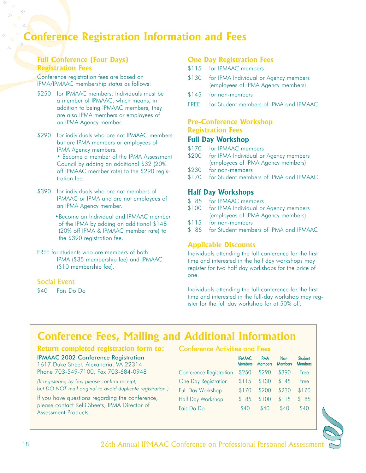## **Conference Registration Information and Fees**

## **Full Conference (Four Days) Registration Fees**

Conference registration fees are based on IPMA/IPMAAC membership status as follows:

- \$250 for IPMAAC members. Individuals must be a member of IPMAAC, which means, in addition to being IPMAAC members, they are also IPMA members or employees of an IPMA Agency member.
- \$290 for individuals who are not IPMAAC members but are IPMA members or employees of IPMA Agency members.

• Become a member of the IPMA Assessment Council by adding an additional \$32 (20% off IPMAAC member rate) to the \$290 registration fee.

- \$390 for individuals who are not members of IPMAAC or IPMA and are not employees of an IPMA Agency member.
	- •Become an Individual and IPMAAC member of the IPMA by adding an additional \$148 (20% off IPMA & IPMAAC member rate) to the \$390 registration fee.
- FREE for students who are members of both IPMA (\$35 membership fee) and IPMAAC (\$10 membership fee).

## Social Event

\$40 Fais Do Do

## **One Day Registration Fees**

- \$115 for IPMAAC members
- \$130 for IPMA Individual or Agency members (employees of IPMA Agency members)
- \$145 for non-members
- FREE for Student members of IPMA and IPMAAC

## **Pre-Conference Workshop Registration Fees**

## **Full Day Workshop**

- \$170 for IPMAAC members
- \$200 for IPMA Individual or Agency members (employees of IPMA Agency members)
- \$230 for non-members
- \$170 for Student members of IPMA and IPMAAC

## **Half Day Workshops**

- \$85 for IPMAAC members<br>\$100 for IPMA Individual or
- for IPMA Individual or Agency members (employees of IPMA Agency members)
- \$115 for non-members
- \$ 85 for Student members of IPMA and IPMAAC

## **Applicable Discounts**

Individuals attending the full conference for the first time and interested in the half day workshops may register for two half day workshops for the price of one.

Individuals attending the full conference for the first time and interested in the full-day workshop may register for the full day workshop for at 50% off.

## **Conference Fees, Mailing and Additional Information**

#### **Return completed registration form to:**

#### IPMAAC 2002 Conference Registration

1617 Duke Street, Alexandria, VA 22314 Phone 703-549-7100, Fax 703-684-0948

*(If registering by fax, please confirm receipt, but DO NOT mail original to avoid duplicate registration.)*

If you have questions regarding the conference, please contact Kelli Sheets, IPMA Director of Assessment Products.

### Conference Activities and Fees

|                                | <b>IPMAAC</b><br><b>Members</b> | <b>IPMA</b><br><b>Members</b> | Non-<br><b>Members</b> | <b>Student</b><br><b>Members</b> |
|--------------------------------|---------------------------------|-------------------------------|------------------------|----------------------------------|
| <b>Conference Registration</b> | \$250                           | \$290                         | \$390                  | Free                             |
| One Day Registration           | \$115                           | \$130                         | \$145                  | Free                             |
| <b>Full Day Workshop</b>       | \$170                           | \$200                         | \$230                  | \$170                            |
| Half Day Workshop              | \$85                            | \$100                         | \$115                  | \$ 85                            |
| Fais Do Do                     | \$40                            | \$40                          | \$40                   | \$40                             |

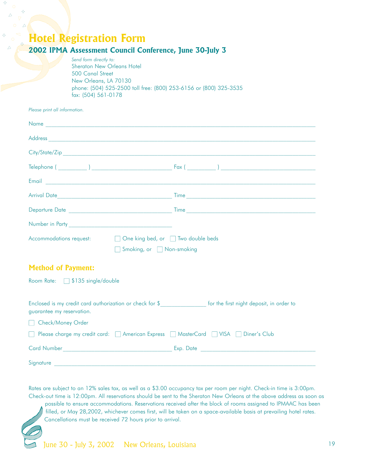## **Hotel Registration Form**

## **2002 IPMA Assessment Council Conference, June 30-July 3**

*Send form directly to:* Sheraton New Orleans Hotel 500 Canal Street New Orleans, LA 70130 phone: (504) 525-2500 toll free: (800) 253-6156 or (800) 325-3535 fax: (504) 561-0178

*Please print all information.* 

| Accommodations request:       | □ One king bed, or □ Two double beds |                                                                                                   |  |
|-------------------------------|--------------------------------------|---------------------------------------------------------------------------------------------------|--|
|                               | Smoking, or Non-smoking              |                                                                                                   |  |
| <b>Method of Payment:</b>     |                                      |                                                                                                   |  |
| Room Rate: 5135 single/double |                                      |                                                                                                   |  |
|                               |                                      |                                                                                                   |  |
| guarantee my reservation.     |                                      | Enclosed is my credit card authorization or check for \$ for the first night deposit, in order to |  |
| Check/Money Order             |                                      |                                                                                                   |  |
|                               |                                      | □ Please charge my credit card: □ American Express □ MasterCard □ VISA □ Diner's Club             |  |
|                               |                                      |                                                                                                   |  |
| Signature                     |                                      |                                                                                                   |  |

Rates are subject to an 12% sales tax, as well as a \$3.00 occupancy tax per room per night. Check-in time is 3:00pm. Check-out time is 12:00pm. All reservations should be sent to the Sheraton New Orleans at the above address as soon as possible to ensure accommodations. Reservations received after the block of rooms assigned to IPMAAC has been filled, or May 28,2002, whichever comes first, will be taken on a space-available basis at prevailing hotel rates. Cancellations must be received 72 hours prior to arrival.